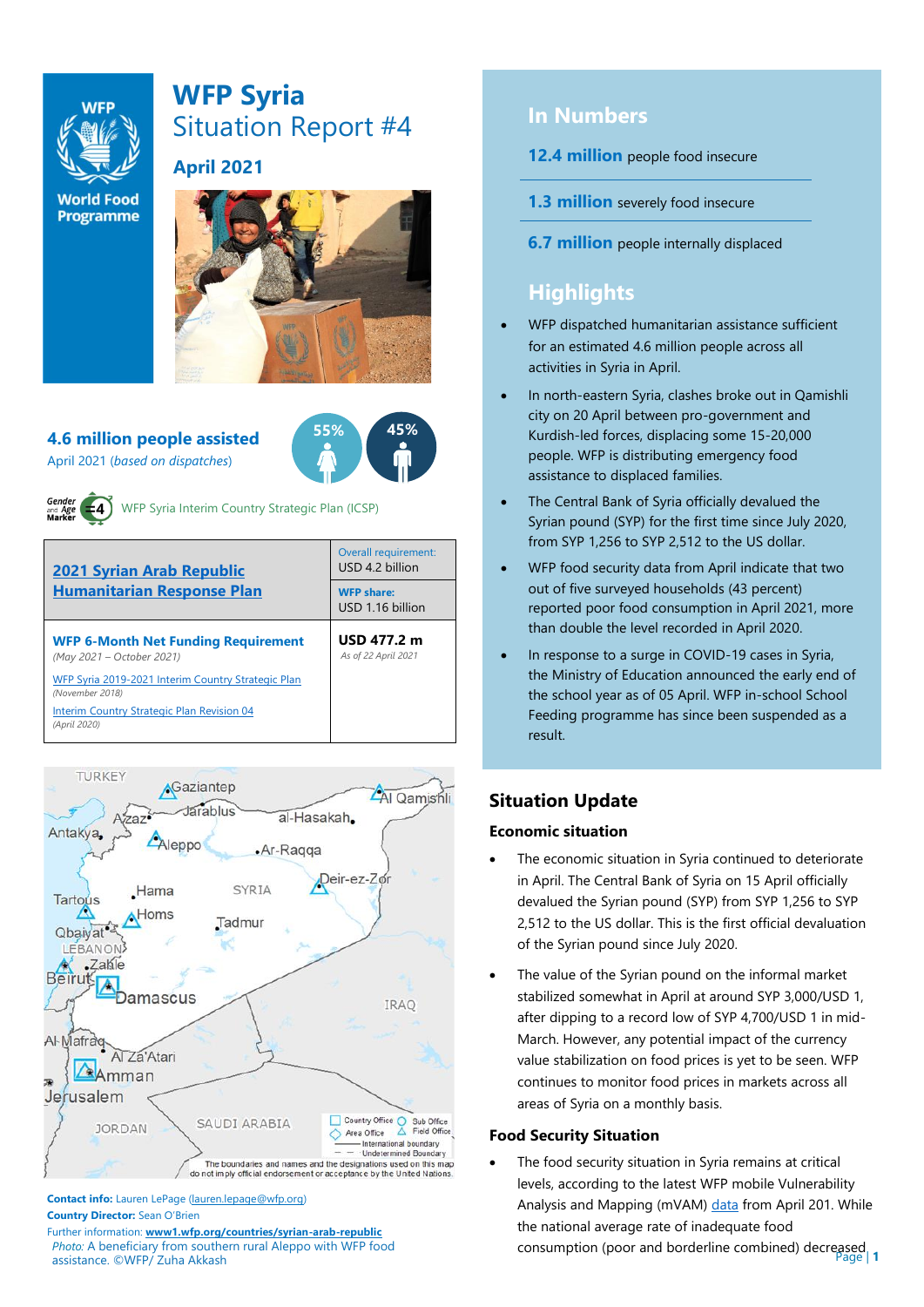

# **WFP Syria** Situation Report #4



**World Food Programme** 

# **April 2021**



**55% 45%**

**4.6 million people assisted**  April 2021 (*based on dispatches*)



WFP Syria Interim Country Strategic Plan (ICSP)





**Contact info:** Lauren LePage [\(lauren.lepage@wfp.org\)](mailto:lauren.lepage@wfp.org) **Country Director:** Sean O'Brien

*Photo:* A beneficiary from southern rural Aleppo with WFP food assistance. ©WFP/ Zuha Akkash Further information: **[www1.wfp.org/countries/syrian-arab-republic](file:///C:/Users/lauren.lepage/AppData/Local/Microsoft/Windows/INetCache/Content.Outlook/HTRVWXQN/www1.wfp.org/countries/syrian-arab-republic)**

# **In Numbers**

- **12.4 million** people food insecure
- **1.3 million** severely food insecure
- **6.7 million** people internally displaced

# **Highlights**

- WFP dispatched humanitarian assistance sufficient for an estimated 4.6 million people across all activities in Syria in April.
- In north-eastern Syria, clashes broke out in Qamishli city on 20 April between pro-government and Kurdish-led forces, displacing some 15-20,000 people. WFP is distributing emergency food assistance to displaced families.
- The Central Bank of Syria officially devalued the Syrian pound (SYP) for the first time since July 2020, from SYP 1,256 to SYP 2,512 to the US dollar.
- WFP food security data from April indicate that two out of five surveyed households (43 percent) reported poor food consumption in April 2021, more than double the level recorded in April 2020.
- In response to a surge in COVID-19 cases in Syria, the Ministry of Education announced the early end of the school year as of 05 April. WFP in-school School Feeding programme has since been suspended as a result.

# **Situation Update**

# **Economic situation**

- The economic situation in Syria continued to deteriorate in April. The Central Bank of Syria on 15 April officially devalued the Syrian pound (SYP) from SYP 1,256 to SYP 2,512 to the US dollar. This is the first official devaluation of the Syrian pound since July 2020.
- The value of the Syrian pound on the informal market stabilized somewhat in April at around SYP 3,000/USD 1, after dipping to a record low of SYP 4,700/USD 1 in mid-March. However, any potential impact of the currency value stabilization on food prices is yet to be seen. WFP continues to monitor food prices in markets across all areas of Syria on a monthly basis.

# **Food Security Situation**

consumption (poor and borderline combined) decreased a The food security situation in Syria remains at critical levels, according to the latest WFP mobile Vulnerability Analysis and Mapping (mVAM[\) data](https://reliefweb.int/sites/reliefweb.int/files/resources/WFP-0000127765.pdf) from April 201. While the national average rate of inadequate food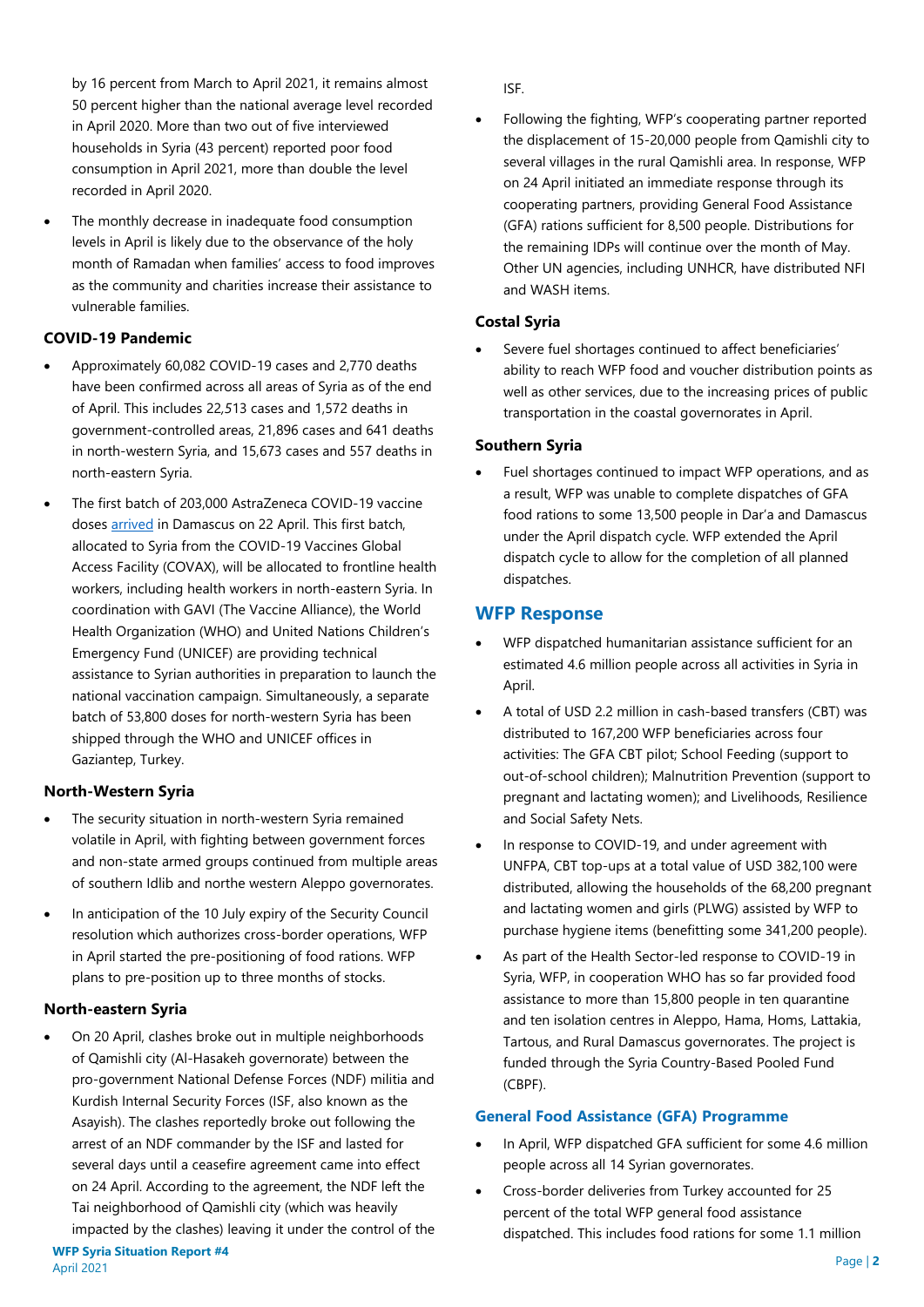by 16 percent from March to April 2021, it remains almost 50 percent higher than the national average level recorded in April 2020. More than two out of five interviewed households in Syria (43 percent) reported poor food consumption in April 2021, more than double the level recorded in April 2020.

The monthly decrease in inadequate food consumption levels in April is likely due to the observance of the holy month of Ramadan when families' access to food improves as the community and charities increase their assistance to vulnerable families.

## **COVID-19 Pandemic**

- Approximately 60,082 COVID-19 cases and 2,770 deaths have been confirmed across all areas of Syria as of the end of April. This includes 22*,5*13 cases and 1,572 deaths in government-controlled areas, 21,896 cases and 641 deaths in north-western Syria, and 15,673 cases and 557 deaths in north-eastern Syria.
- The first batch of 203,000 AstraZeneca COVID-19 vaccine dose[s arrived](https://www.unicef.org/syria/press-releases/syria-receives-its-first-batch-covid-19-vaccines-through-covax) in Damascus on 22 April. This first batch, allocated to Syria from the COVID-19 Vaccines Global Access Facility (COVAX), will be allocated to frontline health workers, including health workers in north-eastern Syria. In coordination with GAVI (The Vaccine Alliance), the World Health Organization (WHO) and United Nations Children's Emergency Fund (UNICEF) are providing technical assistance to Syrian authorities in preparation to launch the national vaccination campaign. Simultaneously, a separate batch of 53,800 doses for north-western Syria has been shipped through the WHO and UNICEF offices in Gaziantep, Turkey.

# **North-Western Syria**

- The security situation in north-western Syria remained volatile in April, with fighting between government forces and non-state armed groups continued from multiple areas of southern Idlib and northe western Aleppo governorates.
- In anticipation of the 10 July expiry of the Security Council resolution which authorizes cross-border operations, WFP in April started the pre-positioning of food rations. WFP plans to pre-position up to three months of stocks.

#### **North-eastern Syria**

• On 20 April, clashes broke out in multiple neighborhoods of Qamishli city (Al-Hasakeh governorate) between the pro-government National Defense Forces (NDF) militia and Kurdish Internal Security Forces (ISF, also known as the Asayish). The clashes reportedly broke out following the arrest of an NDF commander by the ISF and lasted for several days until a ceasefire agreement came into effect on 24 April. According to the agreement, the NDF left the Tai neighborhood of Qamishli city (which was heavily impacted by the clashes) leaving it under the control of the

ISF.

• Following the fighting, WFP's cooperating partner reported the displacement of 15-20,000 people from Qamishli city to several villages in the rural Qamishli area. In response, WFP on 24 April initiated an immediate response through its cooperating partners, providing General Food Assistance (GFA) rations sufficient for 8,500 people. Distributions for the remaining IDPs will continue over the month of May. Other UN agencies, including UNHCR, have distributed NFI and WASH items.

## **Costal Syria**

Severe fuel shortages continued to affect beneficiaries' ability to reach WFP food and voucher distribution points as well as other services, due to the increasing prices of public transportation in the coastal governorates in April.

## **Southern Syria**

• Fuel shortages continued to impact WFP operations, and as a result, WFP was unable to complete dispatches of GFA food rations to some 13,500 people in Dar'a and Damascus under the April dispatch cycle. WFP extended the April dispatch cycle to allow for the completion of all planned dispatches.

# **WFP Response**

- WFP dispatched humanitarian assistance sufficient for an estimated 4.6 million people across all activities in Syria in April.
- A total of USD 2.2 million in cash-based transfers (CBT) was distributed to 167,200 WFP beneficiaries across four activities: The GFA CBT pilot; School Feeding (support to out-of-school children); Malnutrition Prevention (support to pregnant and lactating women); and Livelihoods, Resilience and Social Safety Nets.
- In response to COVID-19, and under agreement with UNFPA, CBT top-ups at a total value of USD 382,100 were distributed, allowing the households of the 68,200 pregnant and lactating women and girls (PLWG) assisted by WFP to purchase hygiene items (benefitting some 341,200 people).
- As part of the Health Sector-led response to COVID-19 in Syria, WFP, in cooperation WHO has so far provided food assistance to more than 15,800 people in ten quarantine and ten isolation centres in Aleppo, Hama, Homs, Lattakia, Tartous, and Rural Damascus governorates. The project is funded through the Syria Country-Based Pooled Fund (CBPF).

#### **General Food Assistance (GFA) Programme**

- In April, WFP dispatched GFA sufficient for some 4.6 million people across all 14 Syrian governorates.
- Cross-border deliveries from Turkey accounted for 25 percent of the total WFP general food assistance dispatched. This includes food rations for some 1.1 million